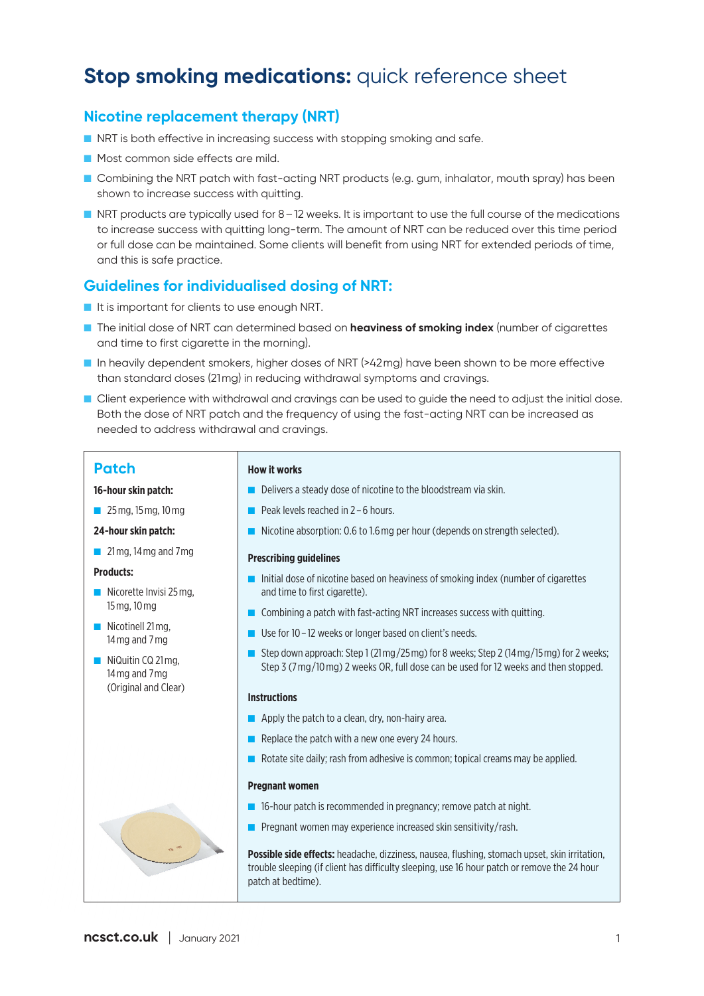# **Stop smoking medications: quick reference sheet**

### **Nicotine replacement therapy (NRT)**

- NRT is both effective in increasing success with stopping smoking and safe.
- Most common side effects are mild.
- Combining the NRT patch with fast-acting NRT products (e.g. gum, inhalator, mouth spray) has been shown to increase success with quitting.
- NRT products are typically used for 8-12 weeks. It is important to use the full course of the medications to increase success with quitting long-term. The amount of NRT can be reduced over this time period or full dose can be maintained. Some clients will benefit from using NRT for extended periods of time, and this is safe practice.

### **Guidelines for individualised dosing of NRT:**

- It is important for clients to use enough NRT.
- The initial dose of NRT can determined based on **heaviness of smoking index** (number of cigarettes and time to first cigarette in the morning).
- In heavily dependent smokers, higher doses of NRT (>42mg) have been shown to be more effective than standard doses (21mg) in reducing withdrawal symptoms and cravings.
- Client experience with withdrawal and cravings can be used to quide the need to adjust the initial dose. Both the dose of NRT patch and the frequency of using the fast-acting NRT can be increased as needed to address withdrawal and cravings.

### **Patch**

### **16-hour skin patch:**

■ 25 mg, 15 mg, 10 mg

### **24-hour skin patch:**

■ 21 mg, 14 mg and 7 mg

#### **Products:**

- Nicorette Invisi 25 mg, 15 mg, 10 mg
- Nicotinell 21mg, 14 mg and 7 mg
- NiQuitin CQ 21 mg, 14 mg and 7mg (Original and Clear)

### **How it works**

- Delivers a steady dose of nicotine to the bloodstream via skin.
- Peak levels reached in 2 6 hours.
- Nicotine absorption: 0.6 to 1.6 mg per hour (depends on strength selected).

#### **Prescribing guidelines**

- Initial dose of nicotine based on heaviness of smoking index (number of cigarettes and time to first cigarette).
- Combining a patch with fast-acting NRT increases success with quitting.
- Use for 10 12 weeks or longer based on client's needs.
- Step down approach: Step 1 (21mg/25 mg) for 8 weeks; Step 2 (14 mg/15 mg) for 2 weeks; Step 3 (7 mg/10 mg) 2 weeks OR, full dose can be used for 12 weeks and then stopped.

### **Instructions**

- Apply the patch to a clean, dry, non-hairy area.
- Replace the patch with a new one every 24 hours.
- Rotate site daily; rash from adhesive is common; topical creams may be applied.

#### **Pregnant women**

- 16-hour patch is recommended in pregnancy; remove patch at night.
- Pregnant women may experience increased skin sensitivity/rash.

**Possible side effects:** headache, dizziness, nausea, flushing, stomach upset, skin irritation, trouble sleeping (if client has difficulty sleeping, use 16 hour patch or remove the 24 hour patch at bedtime).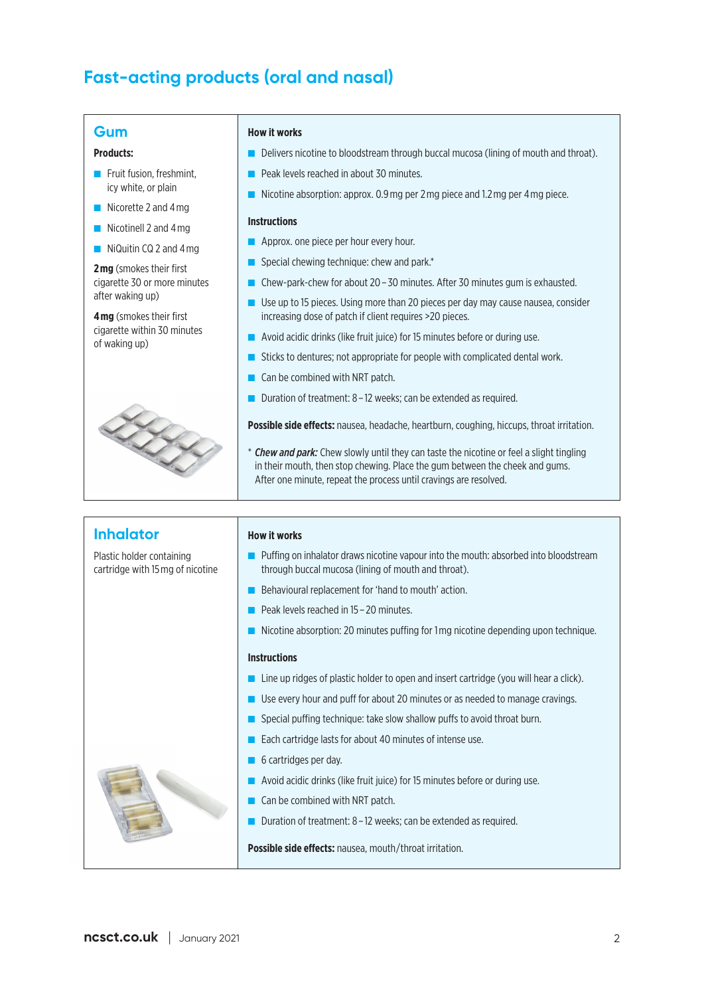# **Fast-acting products (oral and nasal)**

### **Gum**

### **Products:**

- Fruit fusion, freshmint, icy white, or plain
- Nicorette 2 and 4 mg
- Nicotinell 2 and 4 mg
- NiQuitin CQ 2 and 4 mg

**2 mg** (smokes their first cigarette 30 or more minutes after waking up)

**4 mg** (smokes their first cigarette within 30 minutes of waking up)



#### **How it works**

- Delivers nicotine to bloodstream through buccal mucosa (lining of mouth and throat).
- Peak levels reached in about 30 minutes.
- Nicotine absorption: approx. 0.9 mg per 2 mg piece and 1.2 mg per 4 mg piece.

#### **Instructions**

- Approx. one piece per hour every hour.
- Special chewing technique: chew and park.<sup>\*</sup>
- Chew-park-chew for about 20 30 minutes. After 30 minutes gum is exhausted.
- Use up to 15 pieces. Using more than 20 pieces per day may cause nausea, consider increasing dose of patch if client requires >20 pieces.
- Avoid acidic drinks (like fruit juice) for 15 minutes before or during use.
- Sticks to dentures; not appropriate for people with complicated dental work.
- Can be combined with NRT patch.
- **Duration of treatment: 8 12 weeks; can be extended as required.**

**Possible side effects:** nausea, headache, heartburn, coughing, hiccups, throat irritation.

\* *Chew and park:* Chew slowly until they can taste the nicotine or feel a slight tingling in their mouth, then stop chewing. Place the gum between the cheek and gums. After one minute, repeat the process until cravings are resolved.

### **Inhalator**

Plastic holder containing cartridge with 15 mg of nicotine **How it works**

- Puffing on inhalator draws nicotine vapour into the mouth: absorbed into bloodstream through buccal mucosa (lining of mouth and throat).
- Behavioural replacement for 'hand to mouth' action.
- Peak levels reached in 15 20 minutes.
- Nicotine absorption: 20 minutes puffing for 1 mg nicotine depending upon technique.

#### **Instructions**

- Line up ridges of plastic holder to open and insert cartridge (you will hear a click).
- Use every hour and puff for about 20 minutes or as needed to manage cravings.
- Special puffing technique: take slow shallow puffs to avoid throat burn.
- Each cartridge lasts for about 40 minutes of intense use.
- 6 cartridges per day.
- Avoid acidic drinks (like fruit juice) for 15 minutes before or during use.
- Can be combined with NRT patch.
- Duration of treatment: 8 12 weeks; can be extended as required.

**Possible side effects:** nausea, mouth/throat irritation.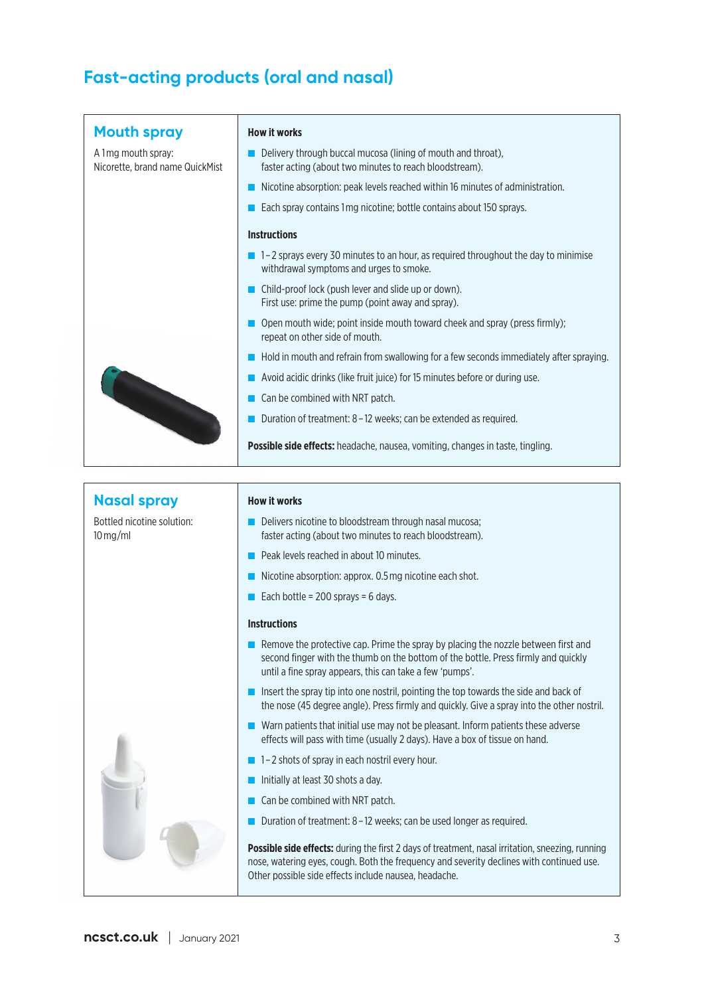# **Fast-acting products (oral and nasal)**

| <b>Mouth spray</b>                                     | <b>How it works</b>                                                                                                                                                                                                                  |
|--------------------------------------------------------|--------------------------------------------------------------------------------------------------------------------------------------------------------------------------------------------------------------------------------------|
| A 1 mg mouth spray:<br>Nicorette, brand name QuickMist | Delivery through buccal mucosa (lining of mouth and throat),<br>faster acting (about two minutes to reach bloodstream).                                                                                                              |
|                                                        | Nicotine absorption: peak levels reached within 16 minutes of administration.                                                                                                                                                        |
|                                                        | Each spray contains 1mg nicotine; bottle contains about 150 sprays.                                                                                                                                                                  |
|                                                        | <b>Instructions</b>                                                                                                                                                                                                                  |
|                                                        | $\blacksquare$ 1–2 sprays every 30 minutes to an hour, as required throughout the day to minimise<br>withdrawal symptoms and urges to smoke.                                                                                         |
|                                                        | Child-proof lock (push lever and slide up or down).<br>First use: prime the pump (point away and spray).                                                                                                                             |
|                                                        | Open mouth wide; point inside mouth toward cheek and spray (press firmly);<br>repeat on other side of mouth.                                                                                                                         |
|                                                        | Hold in mouth and refrain from swallowing for a few seconds immediately after spraying.                                                                                                                                              |
|                                                        | Avoid acidic drinks (like fruit juice) for 15 minutes before or during use.                                                                                                                                                          |
|                                                        | Can be combined with NRT patch.                                                                                                                                                                                                      |
|                                                        | Duration of treatment: 8 - 12 weeks; can be extended as required.                                                                                                                                                                    |
|                                                        | Possible side effects: headache, nausea, vomiting, changes in taste, tingling.                                                                                                                                                       |
|                                                        |                                                                                                                                                                                                                                      |
|                                                        |                                                                                                                                                                                                                                      |
| <b>Nasal spray</b>                                     | <b>How it works</b>                                                                                                                                                                                                                  |
| Bottled nicotine solution:<br>$10$ mg/ml               | Delivers nicotine to bloodstream through nasal mucosa;<br>faster acting (about two minutes to reach bloodstream).                                                                                                                    |
|                                                        | Peak levels reached in about 10 minutes.                                                                                                                                                                                             |
|                                                        |                                                                                                                                                                                                                                      |
|                                                        | Nicotine absorption: approx. 0.5 mg nicotine each shot.                                                                                                                                                                              |
|                                                        | Each bottle = $200$ sprays = $6$ days.                                                                                                                                                                                               |
|                                                        | <b>Instructions</b>                                                                                                                                                                                                                  |
|                                                        | Remove the protective cap. Prime the spray by placing the nozzle between first and<br>second finger with the thumb on the bottom of the bottle. Press firmly and quickly<br>until a fine spray appears, this can take a few 'pumps'. |
|                                                        | Insert the spray tip into one nostril, pointing the top towards the side and back of                                                                                                                                                 |
|                                                        | ■ Warn patients that initial use may not be pleasant. Inform patients these adverse<br>effects will pass with time (usually 2 days). Have a box of tissue on hand.                                                                   |
|                                                        | 1-2 shots of spray in each nostril every hour.                                                                                                                                                                                       |
|                                                        | Initially at least 30 shots a day.                                                                                                                                                                                                   |
|                                                        | Can be combined with NRT patch.                                                                                                                                                                                                      |
|                                                        | the nose (45 degree angle). Press firmly and quickly. Give a spray into the other nostril.<br>Duration of treatment: 8 - 12 weeks; can be used longer as required.                                                                   |

**e effects:** during the first 2 days of treatment, nasal irritation, sneezing, running nose, watering eyes, cough. Both the frequency and severity declines with continued use. Other possible side effects include nausea, headache.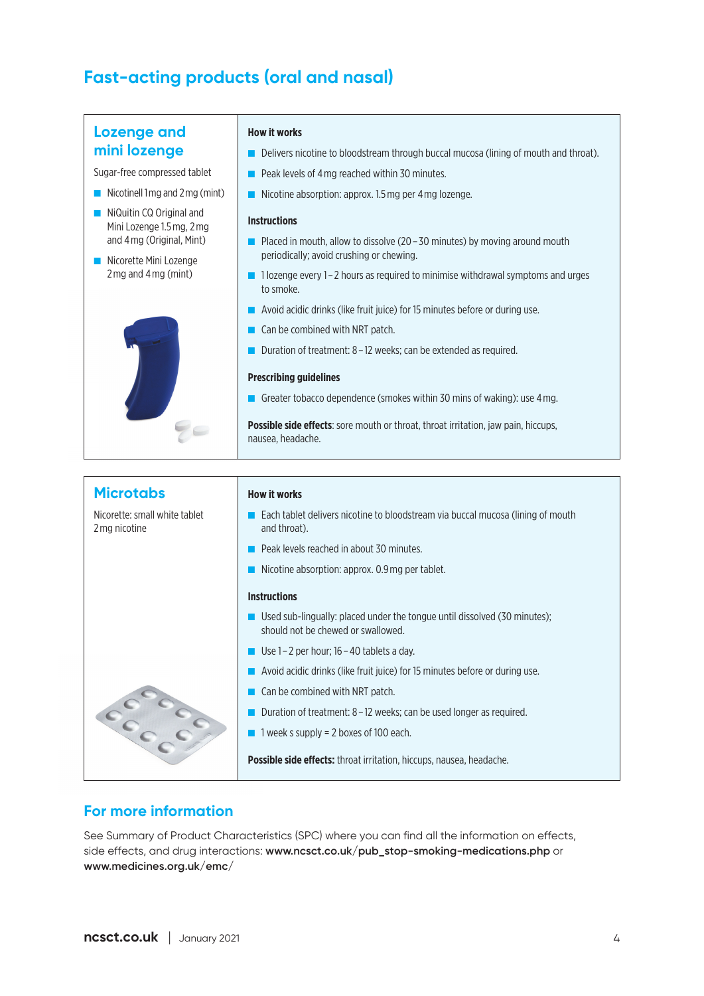# **Fast-acting products (oral and nasal)**

### **Lozenge and mini lozenge**

Sugar-free compressed tablet

- Nicotinell 1mg and 2mg (mint)
- NiQuitin CQ Original and Mini Lozenge 1.5 mg, 2 mg and 4 mg (Original, Mint)
- Nicorette Mini Lozenge 2 mg and 4 mg (mint)



#### **How it works**

- Delivers nicotine to bloodstream through buccal mucosa (lining of mouth and throat).
- Peak levels of 4 mg reached within 30 minutes.
- Nicotine absorption: approx. 1.5 mg per 4 mg lozenge.

### **Instructions**

- $\blacksquare$  Placed in mouth, allow to dissolve (20 30 minutes) by moving around mouth periodically; avoid crushing or chewing.
- 1 lozenge every 1 2 hours as required to minimise withdrawal symptoms and urges to smoke.
- Avoid acidic drinks (like fruit juice) for 15 minutes before or during use.
- Can be combined with NRT patch.
- Duration of treatment: 8 12 weeks; can be extended as required.

#### **Prescribing guidelines**

■ Greater tobacco dependence (smokes within 30 mins of waking): use 4 mg.

**Possible side effects**: sore mouth or throat, throat irritation, jaw pain, hiccups, nausea, headache.

| <b>Microtabs</b>                               | <b>How it works</b>                                                                                             |
|------------------------------------------------|-----------------------------------------------------------------------------------------------------------------|
| Nicorette: small white tablet<br>2 mg nicotine | Each tablet delivers nicotine to bloodstream via buccal mucosa (lining of mouth<br>and throat).                 |
|                                                | Peak levels reached in about 30 minutes.                                                                        |
|                                                | Nicotine absorption: approx. 0.9 mg per tablet.                                                                 |
|                                                | <b>Instructions</b>                                                                                             |
|                                                | Used sub-lingually: placed under the tongue until dissolved (30 minutes);<br>should not be chewed or swallowed. |
|                                                | Use $1 - 2$ per hour; $16 - 40$ tablets a day.                                                                  |
|                                                | Avoid acidic drinks (like fruit juice) for 15 minutes before or during use.                                     |
|                                                | Can be combined with NRT patch.                                                                                 |
|                                                | Duration of treatment: 8 – 12 weeks; can be used longer as required.                                            |
|                                                | 1 week s supply $= 2$ boxes of 100 each.                                                                        |
|                                                | <b>Possible side effects:</b> throat irritation, hiccups, nausea, headache.                                     |

### **For more information**

See Summary of Product Characteristics (SPC) where you can find all the information on effects, side effects, and drug interactions: **www.ncsct.co.uk/pub\_stop-smoking-medications.php** or **www.medicines.org.uk/emc/**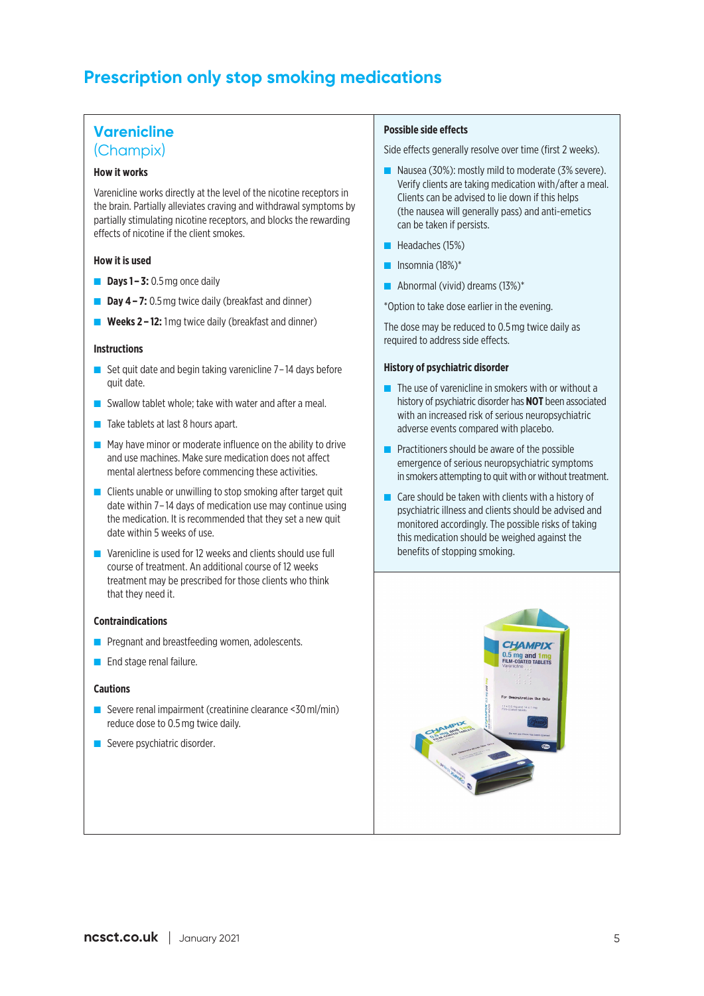## **Prescription only stop smoking medications**

### **Varenicline**

### (Champix)

### **How it works**

Varenicline works directly at the level of the nicotine receptors in the brain. Partially alleviates craving and withdrawal symptoms by partially stimulating nicotine receptors, and blocks the rewarding effects of nicotine if the client smokes.

### **How it is used**

- **Days 1 3:** 0.5 mg once daily
- **Day 4 7:** 0.5 mg twice daily (breakfast and dinner)
- **Weeks 2 12:** 1 mg twice daily (breakfast and dinner)

### **Instructions**

- Set quit date and begin taking varenicline 7-14 days before quit date.
- Swallow tablet whole: take with water and after a meal.
- Take tablets at last 8 hours apart.
- May have minor or moderate influence on the ability to drive and use machines. Make sure medication does not affect mental alertness before commencing these activities.
- Clients unable or unwilling to stop smoking after target quit date within 7– 14 days of medication use may continue using the medication. It is recommended that they set a new quit date within 5 weeks of use.
- Varenicline is used for 12 weeks and clients should use full course of treatment. An additional course of 12 weeks treatment may be prescribed for those clients who think that they need it.

#### **Contraindications**

- Pregnant and breastfeeding women, adolescents.
- End stage renal failure.

### **Cautions**

- Severe renal impairment (creatinine clearance <30 ml/min) reduce dose to 0.5 mg twice daily.
- Severe psychiatric disorder.

#### **Possible side effects**

Side effects generally resolve over time (first 2 weeks).

- Nausea (30%): mostly mild to moderate (3% severe). Verify clients are taking medication with/after a meal. Clients can be advised to lie down if this helps (the nausea will generally pass) and anti-emetics can be taken if persists.
- Headaches (15%)
- Insomnia (18%)<sup>\*</sup>
- Abnormal (vivid) dreams (13%)<sup>\*</sup>

\*Option to take dose earlier in the evening.

The dose may be reduced to 0.5 mg twice daily as required to address side effects.

### **History of psychiatric disorder**

- The use of varenicline in smokers with or without a history of psychiatric disorder has **NOT** been associated with an increased risk of serious neuropsychiatric adverse events compared with placebo.
- Practitioners should be aware of the possible emergence of serious neuropsychiatric symptoms in smokers attempting to quit with or without treatment.
- Care should be taken with clients with a history of psychiatric illness and clients should be advised and monitored accordingly. The possible risks of taking this medication should be weighed against the benefits of stopping smoking.